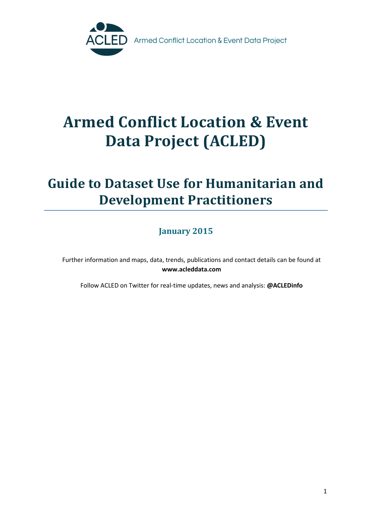

# **Armed Conflict Location & Event Data Project (ACLED)**

## **Guide to Dataset Use for Humanitarian and Development Practitioners**

### **January 2015**

Further information and maps, data, trends, publications and contact details can be found at **www.acleddata.com**

Follow ACLED on Twitter for real-time updates, news and analysis: **@ACLEDinfo**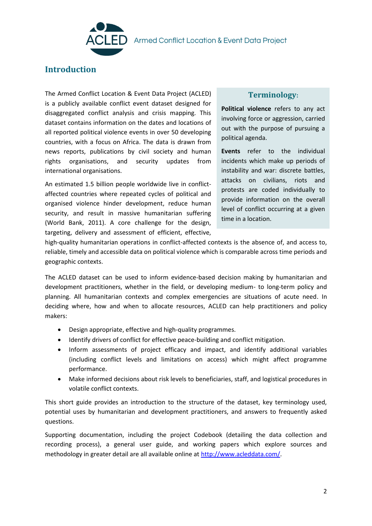

### **Introduction**

The Armed Conflict Location & Event Data Project (ACLED) is a publicly available conflict event dataset designed for disaggregated conflict analysis and crisis mapping. This dataset contains information on the dates and locations of all reported political violence events in over 50 developing countries, with a focus on Africa. The data is drawn from news reports, publications by civil society and human rights organisations, and security updates from international organisations.

An estimated 1.5 billion people worldwide live in conflictaffected countries where repeated cycles of political and organised violence hinder development, reduce human security, and result in massive humanitarian suffering (World Bank, 2011). A core challenge for the design, targeting, delivery and assessment of efficient, effective,

#### **Terminology:**

**Political violence** refers to any act involving force or aggression, carried out with the purpose of pursuing a political agenda.

**Events** refer to the individual incidents which make up periods of instability and war: discrete battles, attacks on civilians, riots and protests are coded individually to provide information on the overall level of conflict occurring at a given time in a location.

high-quality humanitarian operations in conflict-affected contexts is the absence of, and access to, reliable, timely and accessible data on political violence which is comparable across time periods and geographic contexts.

The ACLED dataset can be used to inform evidence-based decision making by humanitarian and development practitioners, whether in the field, or developing medium- to long-term policy and planning. All humanitarian contexts and complex emergencies are situations of acute need. In deciding where, how and when to allocate resources, ACLED can help practitioners and policy makers:

- Design appropriate, effective and high-quality programmes.
- Identify drivers of conflict for effective peace-building and conflict mitigation.
- Inform assessments of project efficacy and impact, and identify additional variables (including conflict levels and limitations on access) which might affect programme performance.
- Make informed decisions about risk levels to beneficiaries, staff, and logistical procedures in volatile conflict contexts.

This short guide provides an introduction to the structure of the dataset, key terminology used, potential uses by humanitarian and development practitioners, and answers to frequently asked questions.

Supporting documentation, including the project Codebook (detailing the data collection and recording process), a general user guide, and working papers which explore sources and methodology in greater detail are all available online a[t http://www.acleddata.com/.](http://www.acleddata.com/)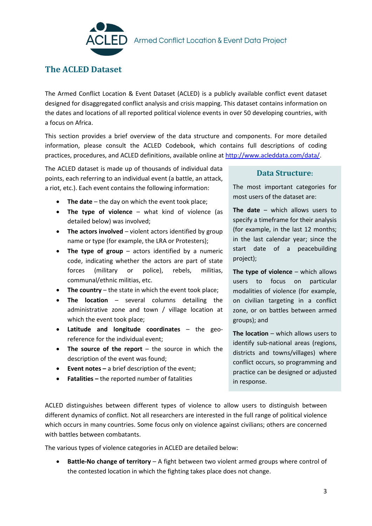

### **The ACLED Dataset**

The Armed Conflict Location & Event Dataset (ACLED) is a publicly available conflict event dataset designed for disaggregated conflict analysis and crisis mapping. This dataset contains information on the dates and locations of all reported political violence events in over 50 developing countries, with a focus on Africa.

This section provides a brief overview of the data structure and components. For more detailed information, please consult the ACLED Codebook, which contains full descriptions of coding practices, procedures, and ACLED definitions, available online at [http://www.acleddata.com/data/.](http://www.acleddata.com/data/)

The ACLED dataset is made up of thousands of individual data points, each referring to an individual event (a battle, an attack, a riot, etc.). Each event contains the following information:

- The date the day on which the event took place;
- **The type of violence** what kind of violence (as detailed below) was involved;
- **The actors involved** violent actors identified by group name or type (for example, the LRA or Protesters);
- **The type of group** actors identified by a numeric code, indicating whether the actors are part of state forces (military or police), rebels, militias, communal/ethnic militias, etc.
- The country the state in which the event took place;
- **The location**  several columns detailing the administrative zone and town / village location at which the event took place;
- **Latitude and longitude coordinates** the georeference for the individual event;
- **The source of the report** the source in which the description of the event was found;
- **Event notes –** a brief description of the event;
- **Fatalities –** the reported number of fatalities

#### **Data Structure:**

The most important categories for most users of the dataset are:

**The date** – which allows users to specify a timeframe for their analysis (for example, in the last 12 months; in the last calendar year; since the start date of a peacebuilding project);

**The type of violence – which allows** users to focus on particular modalities of violence (for example, on civilian targeting in a conflict zone, or on battles between armed groups); and

**The location** – which allows users to identify sub-national areas (regions, districts and towns/villages) where conflict occurs, so programming and practice can be designed or adjusted in response.

ACLED distinguishes between different types of violence to allow users to distinguish between different dynamics of conflict. Not all researchers are interested in the full range of political violence which occurs in many countries. Some focus only on violence against civilians; others are concerned with battles between combatants.

The various types of violence categories in ACLED are detailed below:

 **Battle-No change of territory** – A fight between two violent armed groups where control of the contested location in which the fighting takes place does not change.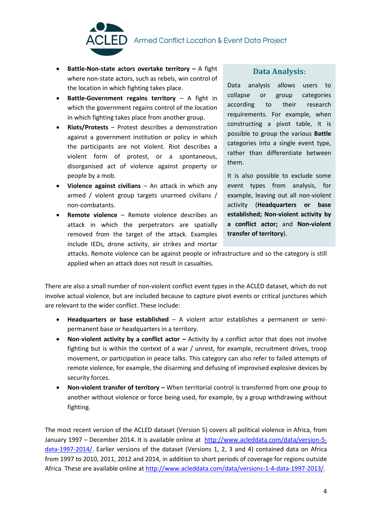

 $\textsf{E}\mathsf{D}\;$  Armed Conflict Location & Event Data Project

- **Battle-Non-state actors overtake territory A fight** where non-state actors, such as rebels, win control of the location in which fighting takes place.
- **Battle-Government regains territory** A fight in which the government regains control of the location in which fighting takes place from another group.
- **Riots/Protests**  Protest describes a demonstration against a government institution or policy in which the participants are not violent. Riot describes a violent form of protest, or a spontaneous, disorganised act of violence against property or people by a mob.
- **Violence against civilians**  An attack in which any armed / violent group targets unarmed civilians / non-combatants.
- **Remote violence**  Remote violence describes an attack in which the perpetrators are spatially removed from the target of the attack. Examples include IEDs, drone activity, air strikes and mortar

#### **Data Analysis:**

Data analysis allows users to collapse or group categories according to their research requirements. For example, when constructing a pivot table, it is possible to group the various **Battle**  categories into a single event type, rather than differentiate between them.

It is also possible to exclude some event types from analysis, for example, leaving out all non-violent activity (**Headquarters or base established; Non-violent activity by a conflict actor;** and **Non-violent transfer of territory**).

attacks. Remote violence can be against people or infrastructure and so the category is still applied when an attack does not result in casualties.

There are also a small number of non-violent conflict event types in the ACLED dataset, which do not involve actual violence, but are included because to capture pivot events or critical junctures which are relevant to the wider conflict. These include:

- **Headquarters or base established** A violent actor establishes a permanent or semipermanent base or headquarters in a territory.
- Non-violent activity by a conflict actor Activity by a conflict actor that does not involve fighting but is within the context of a war / unrest, for example, recruitment drives, troop movement, or participation in peace talks. This category can also refer to failed attempts of remote violence, for example, the disarming and defusing of improvised explosive devices by security forces.
- **Non-violent transfer of territory –** When territorial control is transferred from one group to another without violence or force being used, for example, by a group withdrawing without fighting.

The most recent version of the ACLED dataset (Version 5) covers all political violence in Africa, from January 1997 – December 2014. It is available online at [http://www.acleddata.com/data/version-5](http://www.acleddata.com/data/version-5-data-1997-2014/) [data-1997-2014/.](http://www.acleddata.com/data/version-5-data-1997-2014/) Earlier versions of the dataset (Versions 1, 2, 3 and 4) contained data on Africa from 1997 to 2010, 2011, 2012 and 2014, in addition to short periods of coverage for regions outside Africa. These are available online at [http://www.acleddata.com/data/versions-1-4-data-1997-2013/.](http://www.acleddata.com/data/versions-1-4-data-1997-2013/)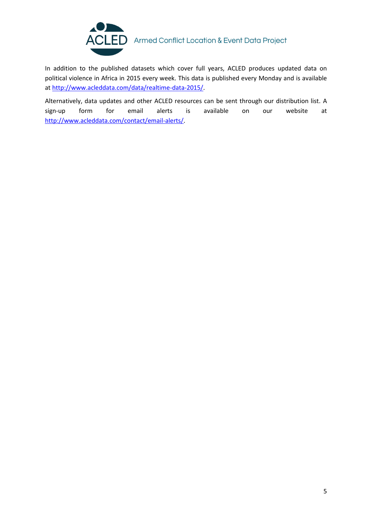

### ACLED Armed Conflict Location & Event Data Project

In addition to the published datasets which cover full years, ACLED produces updated data on political violence in Africa in 2015 every week. This data is published every Monday and is available at [http://www.acleddata.com/data/realtime-data-2015/.](http://www.acleddata.com/data/realtime-data-2015/)

Alternatively, data updates and other ACLED resources can be sent through our distribution list. A sign-up form for email alerts is available on our website at [http://www.acleddata.com/contact/email-alerts/.](http://www.acleddata.com/contact/email-alerts/)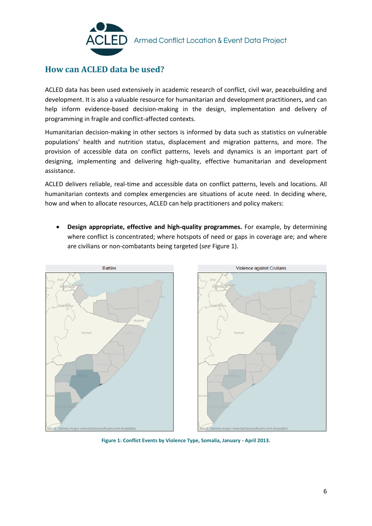

### **How can ACLED data be used?**

ACLED data has been used extensively in academic research of conflict, civil war, peacebuilding and development. It is also a valuable resource for humanitarian and development practitioners, and can help inform evidence-based decision-making in the design, implementation and delivery of programming in fragile and conflict-affected contexts.

Humanitarian decision-making in other sectors is informed by data such as statistics on vulnerable populations' health and nutrition status, displacement and migration patterns, and more. The provision of accessible data on conflict patterns, levels and dynamics is an important part of designing, implementing and delivering high-quality, effective humanitarian and development assistance.

ACLED delivers reliable, real-time and accessible data on conflict patterns, levels and locations. All humanitarian contexts and complex emergencies are situations of acute need. In deciding where, how and when to allocate resources, ACLED can help practitioners and policy makers:

 **Design appropriate, effective and high-quality programmes.** For example, by determining where conflict is concentrated; where hotspots of need or gaps in coverage are; and where are civilians or non-combatants being targeted (*see* Figure 1).



**Figure 1: Conflict Events by Violence Type, Somalia, January - April 2013.**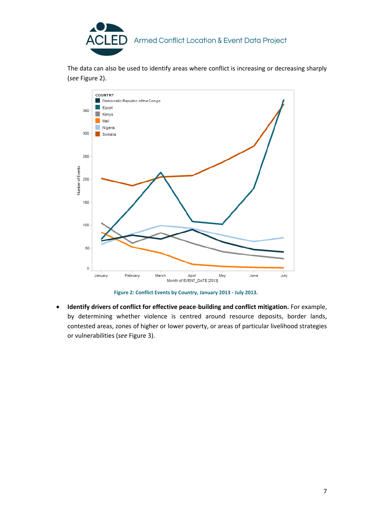

The data can also be used to identify areas where conflict is increasing or decreasing sharply (*see* Figure 2).



**Figure 2: Conflict Events by Country, January 2013 - July 2013.**

 **Identify drivers of conflict for effective peace**-**building and conflict mitigation.** For example, by determining whether violence is centred around resource deposits, border lands, contested areas, zones of higher or lower poverty, or areas of particular livelihood strategies or vulnerabilities (*see* Figure 3).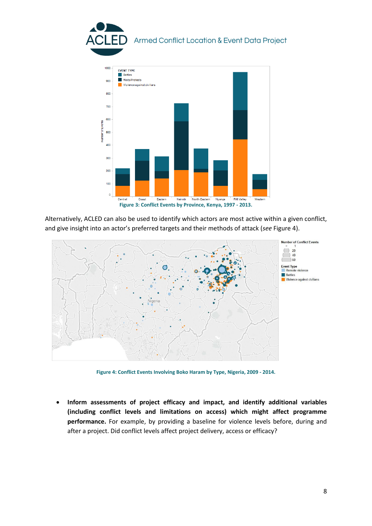

Alternatively, ACLED can also be used to identify which actors are most active within a given conflict, and give insight into an actor's preferred targets and their methods of attack (*see* Figure 4).



**Figure 4: Conflict Events Involving Boko Haram by Type, Nigeria, 2009 - 2014.**

 **Inform assessments of project efficacy and impact, and identify additional variables (including conflict levels and limitations on access) which might affect programme performance.** For example, by providing a baseline for violence levels before, during and after a project. Did conflict levels affect project delivery, access or efficacy?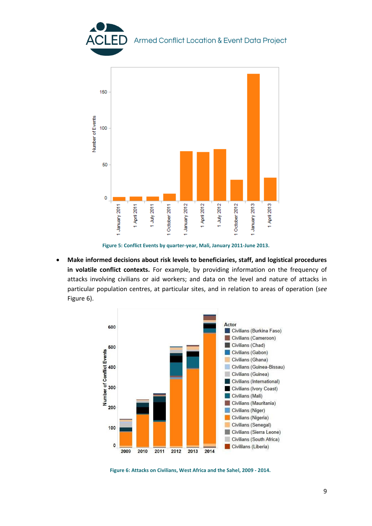

**Figure 5: Conflict Events by quarter-year, Mali, January 2011-June 2013.**

 **Make informed decisions about risk levels to beneficiaries, staff, and logistical procedures in volatile conflict contexts.** For example, by providing information on the frequency of attacks involving civilians or aid workers; and data on the level and nature of attacks in particular population centres, at particular sites, and in relation to areas of operation (*see*  Figure 6).



**Figure 6: Attacks on Civilians, West Africa and the Sahel, 2009 - 2014.**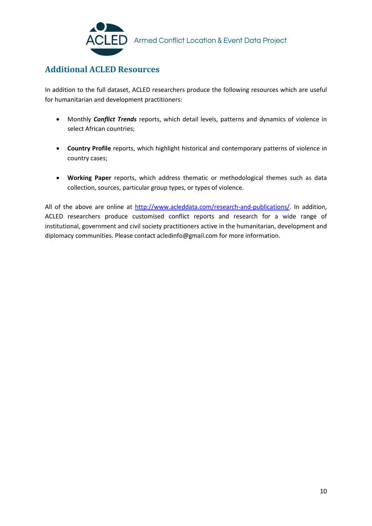

### **Additional ACLED Resources**

In addition to the full dataset, ACLED researchers produce the following resources which are useful for humanitarian and development practitioners:

- Monthly *Conflict Trends* reports, which detail levels, patterns and dynamics of violence in select African countries;
- **Country Profile** reports, which highlight historical and contemporary patterns of violence in country cases;
- **Working Paper** reports, which address thematic or methodological themes such as data collection, sources, particular group types, or types of violence.

All of the above are online at [http://www.acleddata.com/research-and-publications/.](http://www.acleddata.com/research-and-publications/) In addition, ACLED researchers produce customised conflict reports and research for a wide range of institutional, government and civil society practitioners active in the humanitarian, development and diplomacy communities. Please contact acledinfo@gmail.com for more information.